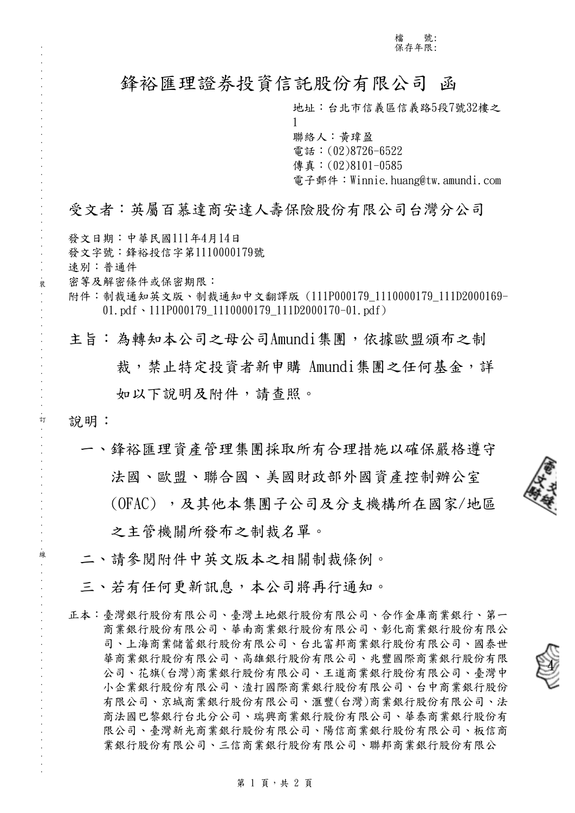主旨:為轉知本公司之母公司Amundi集團,依據歐盟頒布之制 裁,禁止特定投資者新申購 Amundi集團之任何基金,詳 如以下說明及附件,請查照。

說明:

. . . . . . . . . . . . . . . . . . . . . . . . . . . . . . 裝 . . . . . . . . . . . . . . . . 訂 . . . . . . . . . . . . . . . . 線 . . . . . . . . . . . . . . . . . . . . . . . . . . .

一、鋒裕匯理資產管理集團採取所有合理措施以確保嚴格遵守 法國、歐盟、聯合國、美國財政部外國資產控制辦公室

(OFAC) ,及其他本集團子公司及分支機構所在國家/地區

之主管機關所發布之制裁名單。

- 二、請參閱附件中英文版本之相關制裁條例。
- 三、若有任何更新訊息,本公司將再行通知。
- 正本:臺灣銀行股份有限公司、臺灣土地銀行股份有限公司、合作金庫商業銀行、第一 商業銀行股份有限公司、華南商業銀行股份有限公司、彰化商業銀行股份有限公 司、上海商業儲蓄銀行股份有限公司、台北富邦商業銀行股份有限公司、國泰世 華商業銀行股份有限公司、高雄銀行股份有限公司、兆豐國際商業銀行股份有限 公司、花旗(台灣)商業銀行股份有限公司、王道商業銀行股份有限公司、臺灣中 小企業銀行股份有限公司、渣打國際商業銀行股份有限公司、台中商業銀行股份 有限公司、京城商業銀行股份有限公司、滙豐(台灣)商業銀行股份有限公司、法 商法國巴黎銀行台北分公司、瑞興商業銀行股份有限公司、華泰商業銀行股份有 限公司、臺灣新光商業銀行股份有限公司、陽信商業銀行股份有限公司、板信商 業銀行股份有限公司、三信商業銀行股份有限公司、聯邦商業銀行股份有限公

4

#### 第 1 頁,共 2 頁

鋒裕匯理證券投資信託股份有限公司 函

地址:台北市信義區信義路5段7號32樓之 1 聯絡人:黃瑋盈 電話:(02)8726-6522 傳真: (02)8101-0585 電子郵件: Winnie.huang@tw.amundi.com

# 受文者:英屬百慕達商安達人壽保險股份有限公司台灣分公司

- 發文日期:中華民國111年4月14日 發文字號:鋒裕投信字第1110000179號 速別:普通件
- 密等及解密條件或保密期限: 附件:制裁通知英文版、制裁通知中文翻譯版 (111P000179\_1110000179\_111D2000169-
	- 01.pdf、111P000179\_1110000179\_111D2000170-01.pdf)

檔 號: 保存年限: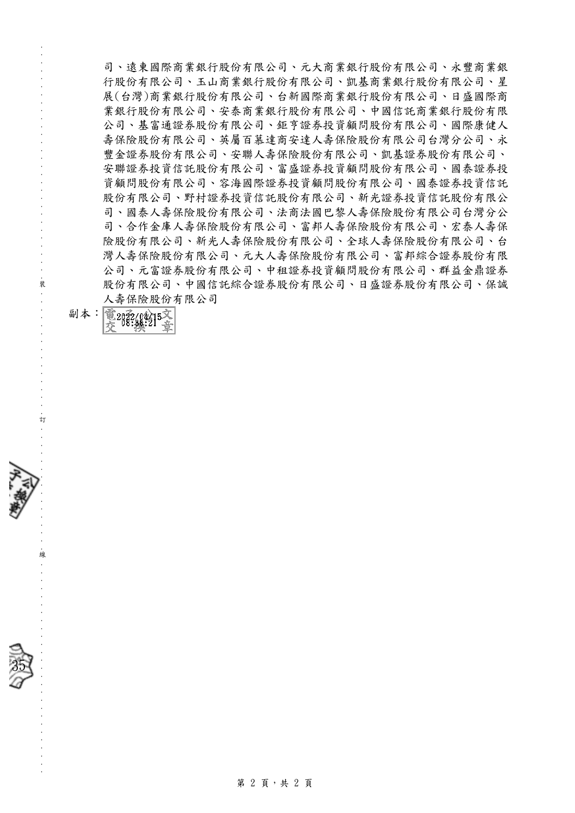司、遠東國際商業銀行股份有限公司、元大商業銀行股份有限公司、永豐商業銀 行股份有限公司、玉山商業銀行股份有限公司、凱基商業銀行股份有限公司、星 展(台灣)商業銀行股份有限公司、台新國際商業銀行股份有限公司、日盛國際商 業銀行股份有限公司、安泰商業銀行股份有限公司、中國信託商業銀行股份有限 公司、基富通證券股份有限公司、鉅亨證券投資顧問股份有限公司、國際康健人 壽保險股份有限公司、英屬百慕達商安達人壽保險股份有限公司台灣分公司、永 豐金證券股份有限公司、安聯人壽保險股份有限公司、凱基證券股份有限公司、 安聯證券投資信託股份有限公司、富盛證券投資顧問股份有限公司、國泰證券投 資顧問股份有限公司、容海國際證券投資顧問股份有限公司、國泰證券投資信託 股份有限公司、野村證券投資信託股份有限公司、新光證券投資信託股份有限公 司、國泰人壽保險股份有限公司、法商法國巴黎人壽保險股份有限公司台灣分公 司、合作金庫人壽保險股份有限公司、富邦人壽保險股份有限公司、宏泰人壽保 險股份有限公司、新光人壽保險股份有限公司、全球人壽保險股份有限公司、台 灣人壽保險股份有限公司、元大人壽保險股份有限公司、富邦綜合證券股份有限 公司、元富證券股份有限公司、中租證券投資顧問股份有限公司、群益金鼎證券 股份有限公司、中國信託綜合證券股份有限公司、日盛證券股份有限公司、保誠 人壽保險股份有限公司

副本: 電2012/04/15文

. . . . . . . . . . . . . . . . . . . . . . . . . . . . . . 裝 . . . . . . . . . . . . . . . . 訂 . . . . . . . . . . . . . . . . 線 . . . . . . . . . . . . . . . . . . . . . . . . . . .

35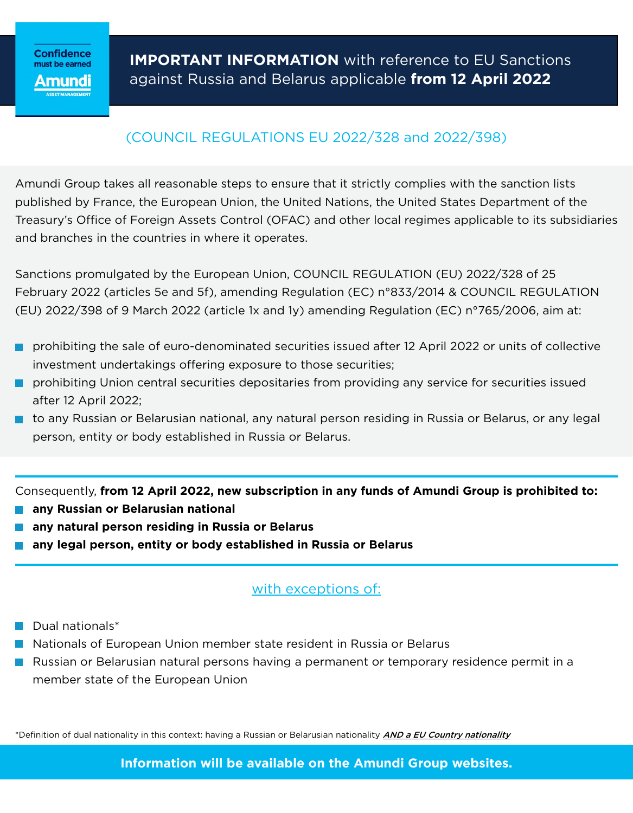# (COUNCIL REGULATIONS EU 2022/328 and 2022/398)

Amundi Group takes all reasonable steps to ensure that it strictly complies with the sanction lists published by France, the European Union, the United Nations, the United States Department of the Treasury's Office of Foreign Assets Control (OFAC) and other local regimes applicable to its subsidiaries and branches in the countries in where it operates.

Sanctions promulgated by the European Union, COUNCIL REGULATION (EU) 2022/328 of 25 February 2022 (articles 5e and 5f), amending Regulation (EC) n°833/2014 & COUNCIL REGULATION (EU) 2022/398 of 9 March 2022 (article 1x and 1y) amending Regulation (EC) n°765/2006, aim at:

- **prohibiting the sale of euro-denominated securities issued after 12 April 2022 or units of collective** investment undertakings offering exposure to those securities;
- **P** prohibiting Union central securities depositaries from providing any service for securities issued after 12 April 2022;
- **that** to any Russian or Belarusian national, any natural person residing in Russia or Belarus, or any legal person, entity or body established in Russia or Belarus.

Consequently, **from 12 April 2022, new subscription in any funds of Amundi Group is prohibited to:**

- **any Russian or Belarusian national**
- **any natural person residing in Russia or Belarus**
- **any legal person, entity or body established in Russia or Belarus**

## with exceptions of:

- $\blacksquare$  Dual nationals\*
- **Nationals of European Union member state resident in Russia or Belarus**
- **Russian or Belarusian natural persons having a permanent or temporary residence permit in a** member state of the European Union

\*Definition of dual nationality in this context: having a Russian or Belarusian nationality *AND a EU Country nationality* 

**Information will be available on the Amundi Group websites.**